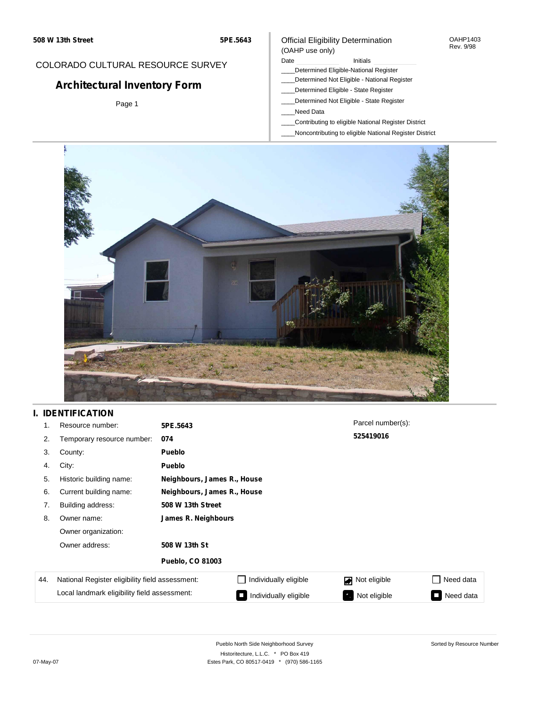### Official Eligibility Determination (OAHP use only)

OAHP1403 Rev. 9/98

## COLORADO CULTURAL RESOURCE SURVEY

# **Architectural Inventory Form**

Page 1

## Date **Initials** Initials

- \_\_\_\_Determined Eligible-National Register
- \_\_\_\_Determined Not Eligible National Register \_\_\_\_Determined Eligible - State Register
- \_\_\_\_Determined Not Eligible State Register
- \_\_\_\_Need Data
- \_\_\_\_Contributing to eligible National Register District
- \_\_\_\_Noncontributing to eligible National Register District



## **I. IDENTIFICATION**

| 1.  | Resource number:                                | 5PE.5643                    |                             | Parcel number(s): |                            |  |  |  |
|-----|-------------------------------------------------|-----------------------------|-----------------------------|-------------------|----------------------------|--|--|--|
| 2.  | Temporary resource number:                      | 074                         |                             | 525419016         |                            |  |  |  |
| 3.  | County:                                         | <b>Pueblo</b>               |                             |                   |                            |  |  |  |
| 4.  | City:                                           | <b>Pueblo</b>               |                             |                   |                            |  |  |  |
| 5.  | Historic building name:                         |                             | Neighbours, James R., House |                   |                            |  |  |  |
| 6.  | Current building name:                          | Neighbours, James R., House |                             |                   |                            |  |  |  |
| 7.  | Building address:                               | 508 W 13th Street           |                             |                   |                            |  |  |  |
| 8.  | Owner name:                                     | James R. Neighbours         |                             |                   |                            |  |  |  |
|     | Owner organization:                             |                             |                             |                   |                            |  |  |  |
|     | Owner address:                                  | 508 W 13th St               |                             |                   |                            |  |  |  |
|     |                                                 | <b>Pueblo, CO 81003</b>     |                             |                   |                            |  |  |  |
| 44. | National Register eligibility field assessment: |                             | Individually eligible       | Not eligible      | Need data<br>$\mathcal{L}$ |  |  |  |
|     | Local landmark eligibility field assessment:    |                             | Individually eligible       | Not eligible      | Need data<br>П             |  |  |  |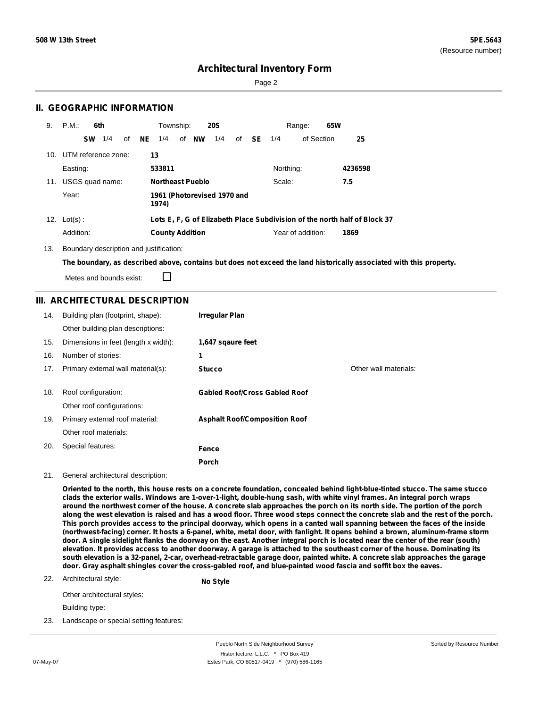Page 2

### **II. GEOGRAPHIC INFORMATION**

| 9.  | P.M.:               | 6th       |     |    |     | Township:<br><b>20S</b> |  |                             |     | 65W<br>Range: |    |           |                   |                                                                           |
|-----|---------------------|-----------|-----|----|-----|-------------------------|--|-----------------------------|-----|---------------|----|-----------|-------------------|---------------------------------------------------------------------------|
|     |                     | <b>SW</b> | 1/4 | of | NE. | 1/4                     |  | of <b>NW</b>                | 1/4 | of            | SE | 1/4       | of Section        | 25                                                                        |
| 10. | UTM reference zone: |           |     |    |     | 13                      |  |                             |     |               |    |           |                   |                                                                           |
|     | Easting:            |           |     |    |     | 533811                  |  |                             |     |               |    | Northing: |                   | 4236598                                                                   |
| 11. | USGS quad name:     |           |     |    |     |                         |  | <b>Northeast Pueblo</b>     |     |               |    | Scale:    |                   | 7.5                                                                       |
|     | Year:               |           |     |    |     | 1974)                   |  | 1961 (Photorevised 1970 and |     |               |    |           |                   |                                                                           |
|     | 12. $Lot(s)$ :      |           |     |    |     |                         |  |                             |     |               |    |           |                   | Lots E, F, G of Elizabeth Place Subdivision of the north half of Block 37 |
|     | Addition:           |           |     |    |     | <b>County Addition</b>  |  |                             |     |               |    |           | Year of addition: | 1869                                                                      |

13. Boundary description and justification:

The boundary, as described above, contains but does not exceed the land historically associated with this property.

Metes and bounds exist:

П

### **III. ARCHITECTURAL DESCRIPTION**

| 14. | Building plan (footprint, shape):    | <b>Irregular Plan</b>                |                       |
|-----|--------------------------------------|--------------------------------------|-----------------------|
|     | Other building plan descriptions:    |                                      |                       |
| 15. | Dimensions in feet (length x width): | 1,647 sqaure feet                    |                       |
| 16. | Number of stories:                   | 1                                    |                       |
| 17. | Primary external wall material(s):   | <b>Stucco</b>                        | Other wall materials: |
|     |                                      |                                      |                       |
| 18. | Roof configuration:                  | <b>Gabled Roof/Cross Gabled Roof</b> |                       |
|     | Other roof configurations:           |                                      |                       |
| 19. | Primary external roof material:      | <b>Asphalt Roof/Composition Roof</b> |                       |
|     | Other roof materials:                |                                      |                       |
| 20. | Special features:                    | Fence                                |                       |
|     |                                      | <b>Porch</b>                         |                       |

#### 21. General architectural description:

Oriented to the north, this house rests on a concrete foundation, concealed behind light-blue-tinted stucco. The same stucco clads the exterior walls. Windows are 1-over-1-light, double-hung sash, with white vinyl frames. An integral porch wraps around the northwest corner of the house. A concrete slab approaches the porch on its north side. The portion of the porch along the west elevation is raised and has a wood floor. Three wood steps connect the concrete slab and the rest of the porch. This porch provides access to the principal doorway, which opens in a canted wall spanning between the faces of the inside (northwest-facing) corner. It hosts a 6-panel, white, metal door, with fanlight. It opens behind a brown, aluminum-frame storm door. A single sidelight flanks the doorway on the east. Another integral porch is located near the center of the rear (south) elevation. It provides access to another doorway. A garage is attached to the southeast corner of the house. Dominating its south elevation is a 32-panel, 2-car, overhead-retractable garage door, painted white. A concrete slab approaches the garage door. Gray asphalt shingles cover the cross-gabled roof, and blue-painted wood fascia and soffit box the eaves.

22. Architectural style: **No Style**

Other architectural styles:

Building type:

23. Landscape or special setting features: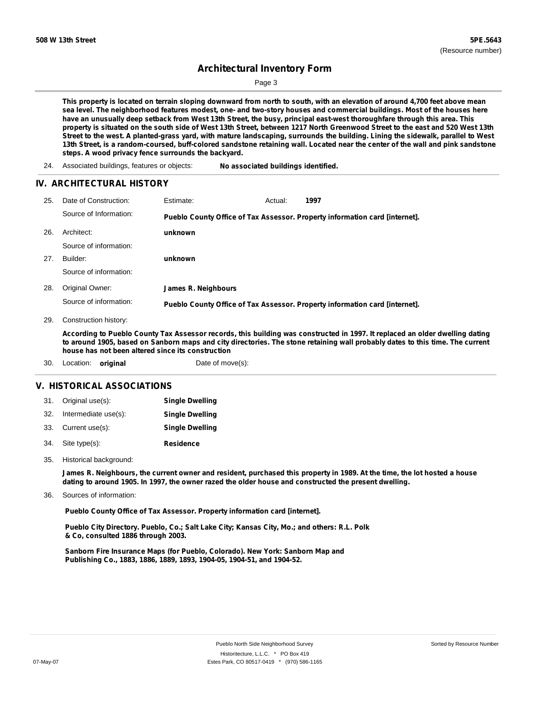Page 3

This property is located on terrain sloping downward from north to south, with an elevation of around 4,700 feet above mean sea level. The neighborhood features modest, one- and two-story houses and commercial buildings. Most of the houses here have an unusually deep setback from West 13th Street, the busy, principal east-west thoroughfare through this area. This property is situated on the south side of West 13th Street, between 1217 North Greenwood Street to the east and 520 West 13th Street to the west. A planted-grass yard, with mature landscaping, surrounds the building. Lining the sidewalk, parallel to West 13th Street, is a random-coursed, buff-colored sandstone retaining wall. Located near the center of the wall and pink sandstone **steps. A wood privacy fence surrounds the backyard.**

24. Associated buildings, features or objects: **No associated buildings identified.**

#### **IV. ARCHITECTURAL HISTORY**

| 25. | Date of Construction:  | Estimate:           | Actual: | 1997                                                                        |
|-----|------------------------|---------------------|---------|-----------------------------------------------------------------------------|
|     | Source of Information: |                     |         | Pueblo County Office of Tax Assessor. Property information card [internet]. |
| 26. | Architect:             | unknown             |         |                                                                             |
|     | Source of information: |                     |         |                                                                             |
| 27. | Builder:               | unknown             |         |                                                                             |
|     | Source of information: |                     |         |                                                                             |
| 28. | Original Owner:        | James R. Neighbours |         |                                                                             |
|     | Source of information: |                     |         | Pueblo County Office of Tax Assessor. Property information card [internet]. |

29. Construction history:

According to Pueblo County Tax Assessor records, this building was constructed in 1997. It replaced an older dwelling dating to around 1905, based on Sanborn maps and city directories. The stone retaining wall probably dates to this time. The current **house has not been altered since its construction**

30. Location: **original** Date of move(s):

#### **V. HISTORICAL ASSOCIATIONS**

| 31. Original use(s):     | <b>Single Dwelling</b> |
|--------------------------|------------------------|
| 32. Intermediate use(s): | <b>Single Dwelling</b> |
| 33. Current use(s):      | <b>Single Dwelling</b> |
| 34. Site type(s):        | <b>Residence</b>       |

Historical background: 35.

> James R. Neighbours, the current owner and resident, purchased this property in 1989. At the time, the lot hosted a house **dating to around 1905. In 1997, the owner razed the older house and constructed the present dwelling.**

Sources of information: 36.

**Pueblo County Office of Tax Assessor. Property information card [internet].**

**Pueblo City Directory. Pueblo, Co.; Salt Lake City; Kansas City, Mo.; and others: R.L. Polk & Co, consulted 1886 through 2003.**

**Sanborn Fire Insurance Maps (for Pueblo, Colorado). New York: Sanborn Map and Publishing Co., 1883, 1886, 1889, 1893, 1904-05, 1904-51, and 1904-52.**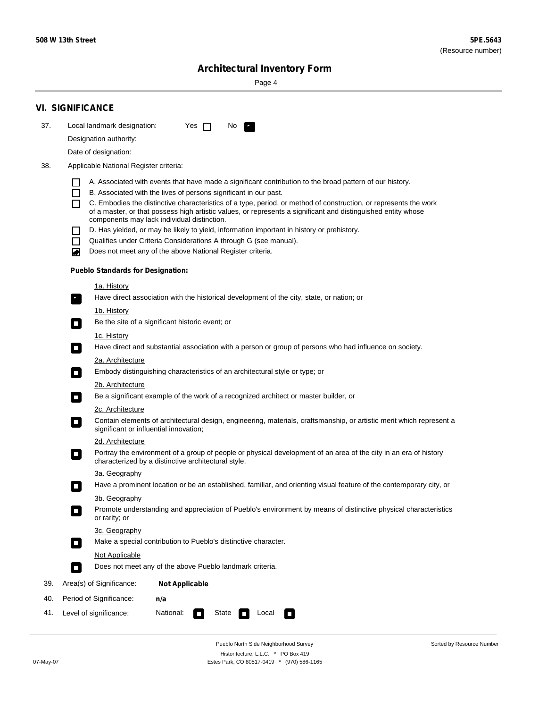Sorted by Resource Number

# **Architectural Inventory Form**

Page 4

|     | <b>VI. SIGNIFICANCE</b>                                                                                                                                                                                |  |  |  |  |  |  |  |
|-----|--------------------------------------------------------------------------------------------------------------------------------------------------------------------------------------------------------|--|--|--|--|--|--|--|
| 37. | Local landmark designation:<br>Yes $\Box$<br>No.                                                                                                                                                       |  |  |  |  |  |  |  |
|     | Designation authority:                                                                                                                                                                                 |  |  |  |  |  |  |  |
|     | Date of designation:                                                                                                                                                                                   |  |  |  |  |  |  |  |
| 38. | Applicable National Register criteria:                                                                                                                                                                 |  |  |  |  |  |  |  |
|     | A. Associated with events that have made a significant contribution to the broad pattern of our history.                                                                                               |  |  |  |  |  |  |  |
|     | B. Associated with the lives of persons significant in our past.<br>$\Box$                                                                                                                             |  |  |  |  |  |  |  |
|     | C. Embodies the distinctive characteristics of a type, period, or method of construction, or represents the work<br>ΙI                                                                                 |  |  |  |  |  |  |  |
|     | of a master, or that possess high artistic values, or represents a significant and distinguished entity whose<br>components may lack individual distinction.                                           |  |  |  |  |  |  |  |
|     | D. Has yielded, or may be likely to yield, information important in history or prehistory.                                                                                                             |  |  |  |  |  |  |  |
|     | Qualifies under Criteria Considerations A through G (see manual).<br>$\mathbf{I}$                                                                                                                      |  |  |  |  |  |  |  |
|     | Does not meet any of the above National Register criteria.<br>◙                                                                                                                                        |  |  |  |  |  |  |  |
|     | <b>Pueblo Standards for Designation:</b>                                                                                                                                                               |  |  |  |  |  |  |  |
|     | <u>1a. History</u>                                                                                                                                                                                     |  |  |  |  |  |  |  |
|     | Have direct association with the historical development of the city, state, or nation; or<br>$\overline{\phantom{a}}$ .                                                                                |  |  |  |  |  |  |  |
|     | <u>1b. History</u>                                                                                                                                                                                     |  |  |  |  |  |  |  |
|     | Be the site of a significant historic event; or<br>$\mathcal{L}_{\mathcal{A}}$                                                                                                                         |  |  |  |  |  |  |  |
|     | 1c. History                                                                                                                                                                                            |  |  |  |  |  |  |  |
|     | Have direct and substantial association with a person or group of persons who had influence on society.<br>$\Box$                                                                                      |  |  |  |  |  |  |  |
|     | 2a. Architecture                                                                                                                                                                                       |  |  |  |  |  |  |  |
|     | Embody distinguishing characteristics of an architectural style or type; or<br>$\mathcal{L}_{\mathcal{A}}$                                                                                             |  |  |  |  |  |  |  |
|     | 2b. Architecture                                                                                                                                                                                       |  |  |  |  |  |  |  |
|     | Be a significant example of the work of a recognized architect or master builder, or<br>$\mathcal{L}_{\mathcal{A}}$                                                                                    |  |  |  |  |  |  |  |
|     | 2c. Architecture                                                                                                                                                                                       |  |  |  |  |  |  |  |
|     | Contain elements of architectural design, engineering, materials, craftsmanship, or artistic merit which represent a<br>significant or influential innovation;                                         |  |  |  |  |  |  |  |
|     | 2d. Architecture                                                                                                                                                                                       |  |  |  |  |  |  |  |
|     | Portray the environment of a group of people or physical development of an area of the city in an era of history<br>$\mathcal{L}_{\mathcal{A}}$<br>characterized by a distinctive architectural style. |  |  |  |  |  |  |  |
|     | 3a. Geography                                                                                                                                                                                          |  |  |  |  |  |  |  |
|     | Have a prominent location or be an established, familiar, and orienting visual feature of the contemporary city, or                                                                                    |  |  |  |  |  |  |  |
|     | 3b. Geography                                                                                                                                                                                          |  |  |  |  |  |  |  |
|     | Promote understanding and appreciation of Pueblo's environment by means of distinctive physical characteristics<br>or rarity; or                                                                       |  |  |  |  |  |  |  |
|     | 3c. Geography                                                                                                                                                                                          |  |  |  |  |  |  |  |
|     | Make a special contribution to Pueblo's distinctive character.<br>$\mathcal{L}_{\mathcal{A}}$                                                                                                          |  |  |  |  |  |  |  |
|     | Not Applicable<br>Does not meet any of the above Pueblo landmark criteria.                                                                                                                             |  |  |  |  |  |  |  |
|     | $\sim$                                                                                                                                                                                                 |  |  |  |  |  |  |  |
| 39. | Area(s) of Significance:<br><b>Not Applicable</b>                                                                                                                                                      |  |  |  |  |  |  |  |
| 40. | Period of Significance:<br>n/a                                                                                                                                                                         |  |  |  |  |  |  |  |
| 41. | National:<br>Level of significance:<br>State<br>Local<br>$\mathcal{L}_{\mathcal{A}}$<br>$\sim$                                                                                                         |  |  |  |  |  |  |  |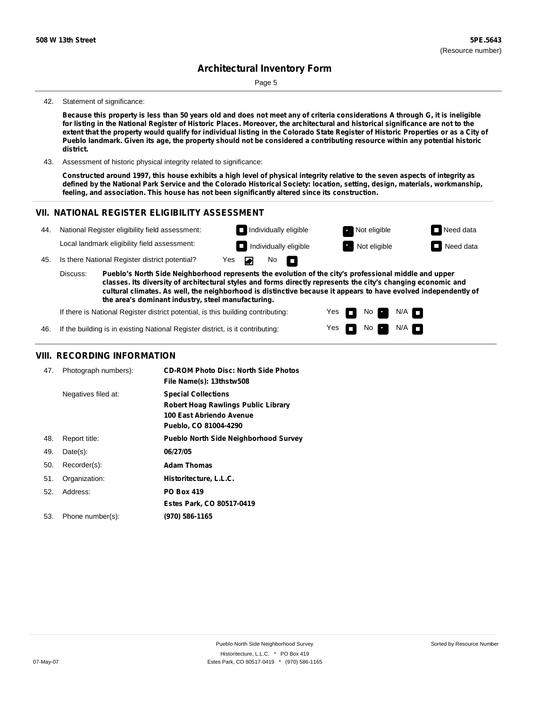Page 5

#### 42. Statement of significance:

Because this property is less than 50 years old and does not meet any of criteria considerations A through G, it is ineligible for listing in the National Register of Historic Places. Moreover, the architectural and historical significance are not to the extent that the property would qualify for individual listing in the Colorado State Register of Historic Properties or as a City of Pueblo landmark. Given its age, the property should not be considered a contributing resource within any potential historic **district.**

43. Assessment of historic physical integrity related to significance:

Constructed around 1997, this house exhibits a high level of physical integrity relative to the seven aspects of integrity as defined by the National Park Service and the Colorado Historical Society: location, setting, design, materials, workmanship, **feeling, and association. This house has not been significantly altered since its construction.**

#### **VII. NATIONAL REGISTER ELIGIBILITY ASSESSMENT**



Yes Yes

m 

No **Ex** 

No  $\blacksquare$  N/A

 $N/A$   $\Box$ 

**the area's dominant industry, steel manufacturing.**

If there is National Register district potential, is this building contributing:

If the building is in existing National Register district, is it contributing: 46.

#### **VIII. RECORDING INFORMATION**

| 47. | Photograph numbers): | <b>CD-ROM Photo Disc: North Side Photos</b><br>File Name(s): 13thstw508                                                       |
|-----|----------------------|-------------------------------------------------------------------------------------------------------------------------------|
|     | Negatives filed at:  | <b>Special Collections</b><br><b>Robert Hoag Rawlings Public Library</b><br>100 East Abriendo Avenue<br>Pueblo, CO 81004-4290 |
| 48. | Report title:        | <b>Pueblo North Side Neighborhood Survey</b>                                                                                  |
| 49. | $Date(s)$ :          | 06/27/05                                                                                                                      |
| 50. | Recorder(s):         | <b>Adam Thomas</b>                                                                                                            |
| 51. | Organization:        | Historitecture, L.L.C.                                                                                                        |
| 52. | Address:             | <b>PO Box 419</b>                                                                                                             |
|     |                      | Estes Park, CO 80517-0419                                                                                                     |
| 53. | Phone number(s):     | (970) 586-1165                                                                                                                |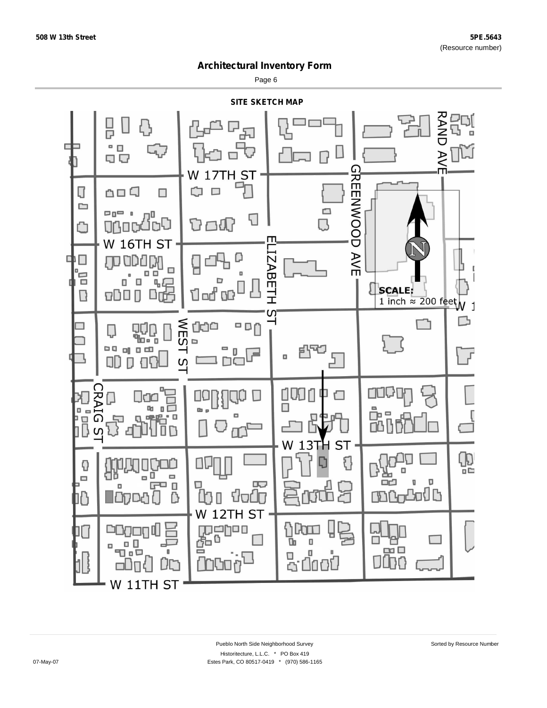Page 6